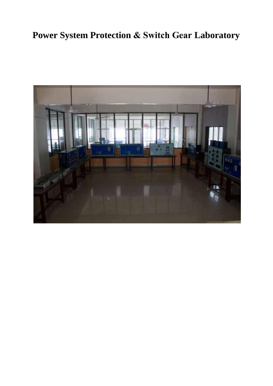# **Power System Protection & Switch Gear Laboratory**

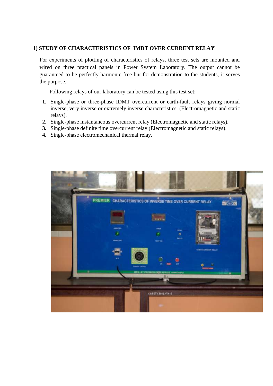## **1) STUDY OF CHARACTERISTICS OF IMDT OVER CURRENT RELAY**

For experiments of plotting of characteristics of relays, three test sets are mounted and wired on three practical panels in Power System Laboratory. The output cannot be guaranteed to be perfectly harmonic free but for demonstration to the students, it serves the purpose.

Following relays of our laboratory can be tested using this test set:

- **1.** Single-phase or three-phase IDMT overcurrent or earth-fault relays giving normal inverse, very inverse or extremely inverse characteristics. (Electromagnetic and static relays).
- **2.** Single-phase instantaneous overcurrent relay (Electromagnetic and static relays).
- **3.** Single-phase definite time overcurrent relay (Electromagnetic and static relays).
- **4.** Single-phase electromechanical thermal relay.

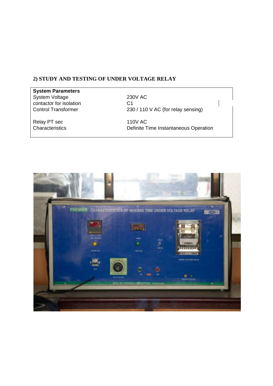# **2) STUDY AND TESTING OF UNDER VOLTAGE RELAY**

| <b>System Parameters</b>   |                                       |  |
|----------------------------|---------------------------------------|--|
| <b>System Voltage</b>      | 230V AC                               |  |
| contactor for isolation    | C1                                    |  |
| <b>Control Transformer</b> | 230 / 110 V AC (for relay sensing)    |  |
| Relay PT sec               | 110V AC                               |  |
| Characteristics            | Definite Time Instantaneous Operation |  |

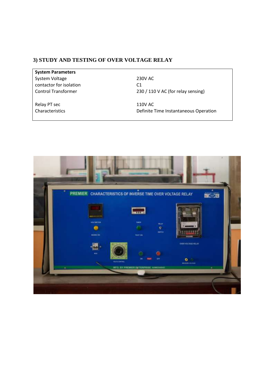### **3) STUDY AND TESTING OF OVER VOLTAGE RELAY**

**System Parameters**  System Voltage 230V AC contactor for isolation C1

Relay PT sec 110V AC

Control Transformer 230 / 110 V AC (for relay sensing)

Characteristics Definite Time Instantaneous Operation

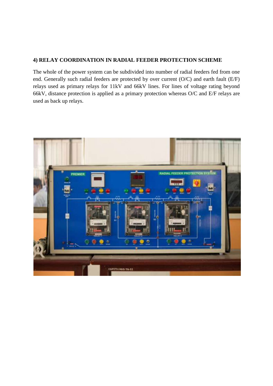# **4) RELAY COORDINATION IN RADIAL FEEDER PROTECTION SCHEME**

The whole of the power system can be subdivided into number of radial feeders fed from one end. Generally such radial feeders are protected by over current (O/C) and earth fault (E/F) relays used as primary relays for 11kV and 66kV lines. For lines of voltage rating beyond 66kV, distance protection is applied as a primary protection whereas O/C and E/F relays are used as back up relays.

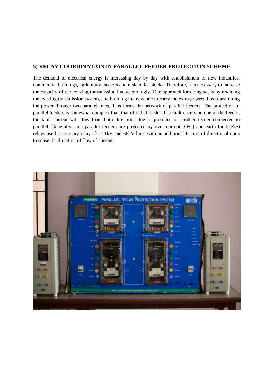#### **5) RELAY COORDINATION IN PARALLEL FEEDER PROTECTION SCHEME**

The demand of electrical energy is increasing day by day with establishment of new industries, commercial buildings, agricultural sectors and residential blocks. Therefore, it is necessary to increase the capacity of the existing transmission line accordingly. One approach for doing so, is by retaining the existing transmission system, and building the new one to carry the extra power; thus transmitting the power through two parallel lines. This forms the network of parallel feeders. The protection of parallel feeders is somewhat complex than that of radial feeder. If a fault occurs on one of the feeder, the fault current will flow from both directions due to presence of another feeder connected in parallel. Generally such parallel feeders are protected by over current (O/C) and earth fault (E/F) relays used as primary relays for 11kV and 66kV lines with an additional feature of directional units to sense the direction of flow of current.

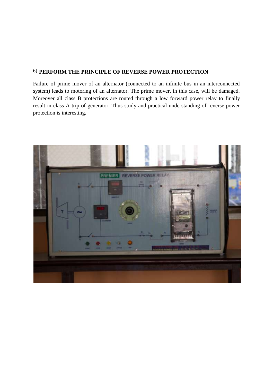## 6) **PERFORM THE PRINCIPLE OF REVERSE POWER PROTECTION**

Failure of prime mover of an alternator (connected to an infinite bus in an interconnected system) leads to motoring of an alternator. The prime mover, in this case, will be damaged. Moreover all class B protections are routed through a low forward power relay to finally result in class A trip of generator. Thus study and practical understanding of reverse power protection is interesting**.**

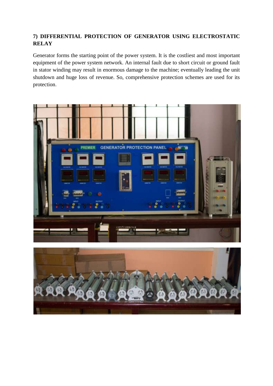# **7) DIFFERENTIAL PROTECTION OF GENERATOR USING ELECTROSTATIC RELAY**

Generator forms the starting point of the power system. It is the costliest and most important equipment of the power system network. An internal fault due to short circuit or ground fault in stator winding may result in enormous damage to the machine; eventually leading the unit shutdown and huge loss of revenue. So, comprehensive protection schemes are used for its protection.



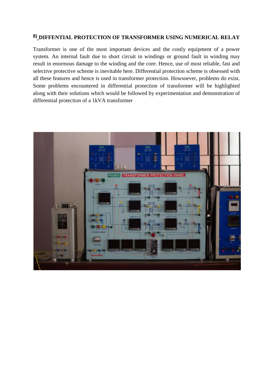# **8) DIFFENTIAL PROTECTION OF TRANSFORMER USING NUMERICAL RELAY**

Transformer is one of the most important devices and the costly equipment of a power system. An internal fault due to short circuit in windings or ground fault in winding may result in enormous damage to the winding and the core. Hence, use of most reliable, fast and selective protective scheme is inevitable here. Differential protection scheme is obsessed with all these features and hence is used in transformer protection. Howsoever, problems do exist. Some problems encountered in differential protection of transformer will be highlighted along with their solutions which would be followed by experimentation and demonstration of differential protection of a 1kVA transformer